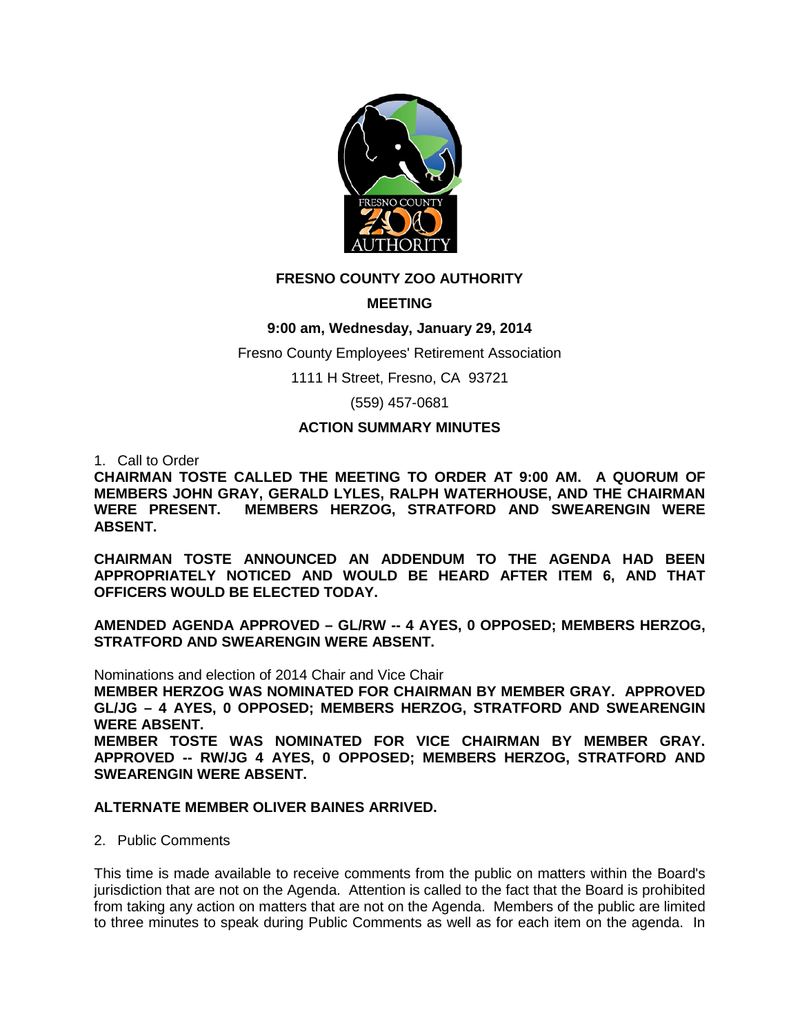

# **FRESNO COUNTY ZOO AUTHORITY**

# **MEETING**

# **9:00 am, Wednesday, January 29, 2014**

Fresno County Employees' Retirement Association

1111 H Street, Fresno, CA 93721

(559) 457-0681

## **ACTION SUMMARY MINUTES**

1. Call to Order

**CHAIRMAN TOSTE CALLED THE MEETING TO ORDER AT 9:00 AM. A QUORUM OF MEMBERS JOHN GRAY, GERALD LYLES, RALPH WATERHOUSE, AND THE CHAIRMAN MEMBERS HERZOG, STRATFORD AND SWEARENGIN WERE ABSENT.**

**CHAIRMAN TOSTE ANNOUNCED AN ADDENDUM TO THE AGENDA HAD BEEN APPROPRIATELY NOTICED AND WOULD BE HEARD AFTER ITEM 6, AND THAT OFFICERS WOULD BE ELECTED TODAY.** 

**AMENDED AGENDA APPROVED – GL/RW -- 4 AYES, 0 OPPOSED; MEMBERS HERZOG, STRATFORD AND SWEARENGIN WERE ABSENT.**

Nominations and election of 2014 Chair and Vice Chair **MEMBER HERZOG WAS NOMINATED FOR CHAIRMAN BY MEMBER GRAY. APPROVED GL/JG – 4 AYES, 0 OPPOSED; MEMBERS HERZOG, STRATFORD AND SWEARENGIN WERE ABSENT. MEMBER TOSTE WAS NOMINATED FOR VICE CHAIRMAN BY MEMBER GRAY. APPROVED -- RW/JG 4 AYES, 0 OPPOSED; MEMBERS HERZOG, STRATFORD AND** 

#### **ALTERNATE MEMBER OLIVER BAINES ARRIVED.**

2. Public Comments

**SWEARENGIN WERE ABSENT.**

This time is made available to receive comments from the public on matters within the Board's jurisdiction that are not on the Agenda. Attention is called to the fact that the Board is prohibited from taking any action on matters that are not on the Agenda. Members of the public are limited to three minutes to speak during Public Comments as well as for each item on the agenda. In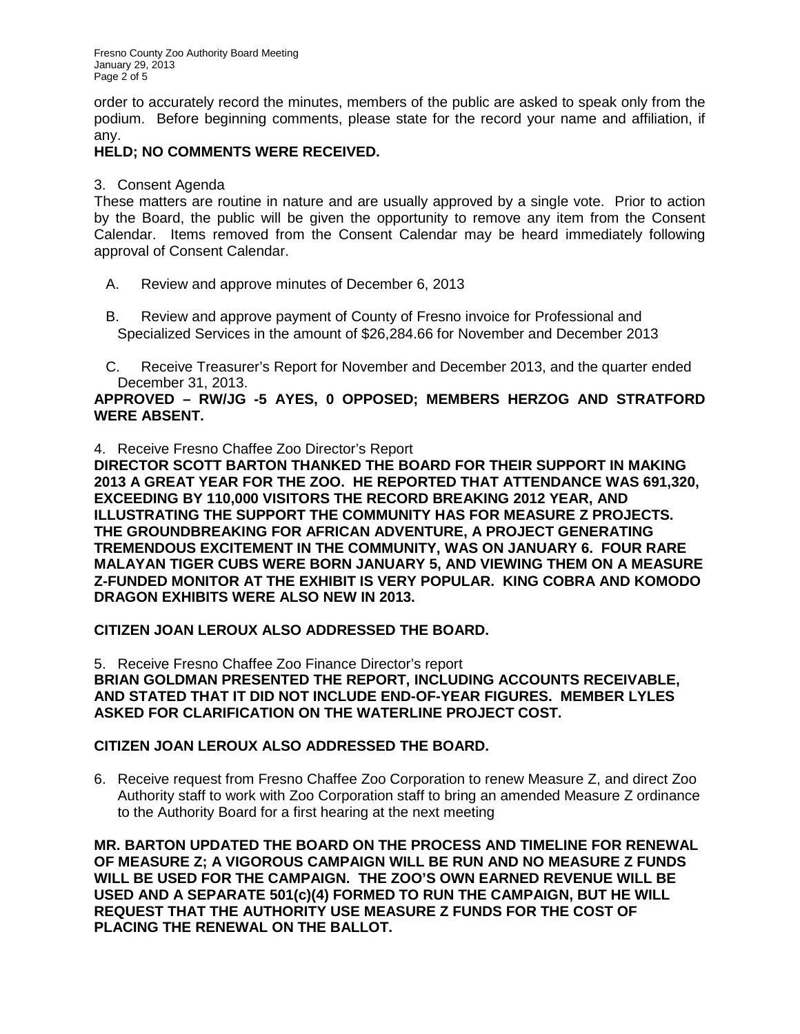Fresno County Zoo Authority Board Meeting January 29, 2013 Page 2 of 5

order to accurately record the minutes, members of the public are asked to speak only from the podium. Before beginning comments, please state for the record your name and affiliation, if any.

## **HELD; NO COMMENTS WERE RECEIVED.**

3. Consent Agenda

These matters are routine in nature and are usually approved by a single vote. Prior to action by the Board, the public will be given the opportunity to remove any item from the Consent Calendar. Items removed from the Consent Calendar may be heard immediately following approval of Consent Calendar.

- A. Review and approve minutes of December 6, 2013
- B. Review and approve payment of County of Fresno invoice for Professional and Specialized Services in the amount of \$26,284.66 for November and December 2013
- C. Receive Treasurer's Report for November and December 2013, and the quarter ended December 31, 2013.

### **APPROVED – RW/JG -5 AYES, 0 OPPOSED; MEMBERS HERZOG AND STRATFORD WERE ABSENT.**

4. Receive Fresno Chaffee Zoo Director's Report

**DIRECTOR SCOTT BARTON THANKED THE BOARD FOR THEIR SUPPORT IN MAKING 2013 A GREAT YEAR FOR THE ZOO. HE REPORTED THAT ATTENDANCE WAS 691,320, EXCEEDING BY 110,000 VISITORS THE RECORD BREAKING 2012 YEAR, AND ILLUSTRATING THE SUPPORT THE COMMUNITY HAS FOR MEASURE Z PROJECTS. THE GROUNDBREAKING FOR AFRICAN ADVENTURE, A PROJECT GENERATING TREMENDOUS EXCITEMENT IN THE COMMUNITY, WAS ON JANUARY 6. FOUR RARE MALAYAN TIGER CUBS WERE BORN JANUARY 5, AND VIEWING THEM ON A MEASURE Z-FUNDED MONITOR AT THE EXHIBIT IS VERY POPULAR. KING COBRA AND KOMODO DRAGON EXHIBITS WERE ALSO NEW IN 2013.**

## **CITIZEN JOAN LEROUX ALSO ADDRESSED THE BOARD.**

5. Receive Fresno Chaffee Zoo Finance Director's report **BRIAN GOLDMAN PRESENTED THE REPORT, INCLUDING ACCOUNTS RECEIVABLE, AND STATED THAT IT DID NOT INCLUDE END-OF-YEAR FIGURES. MEMBER LYLES ASKED FOR CLARIFICATION ON THE WATERLINE PROJECT COST.**

## **CITIZEN JOAN LEROUX ALSO ADDRESSED THE BOARD.**

6. Receive request from Fresno Chaffee Zoo Corporation to renew Measure Z, and direct Zoo Authority staff to work with Zoo Corporation staff to bring an amended Measure Z ordinance to the Authority Board for a first hearing at the next meeting

**MR. BARTON UPDATED THE BOARD ON THE PROCESS AND TIMELINE FOR RENEWAL OF MEASURE Z; A VIGOROUS CAMPAIGN WILL BE RUN AND NO MEASURE Z FUNDS WILL BE USED FOR THE CAMPAIGN. THE ZOO'S OWN EARNED REVENUE WILL BE USED AND A SEPARATE 501(c)(4) FORMED TO RUN THE CAMPAIGN, BUT HE WILL REQUEST THAT THE AUTHORITY USE MEASURE Z FUNDS FOR THE COST OF PLACING THE RENEWAL ON THE BALLOT.**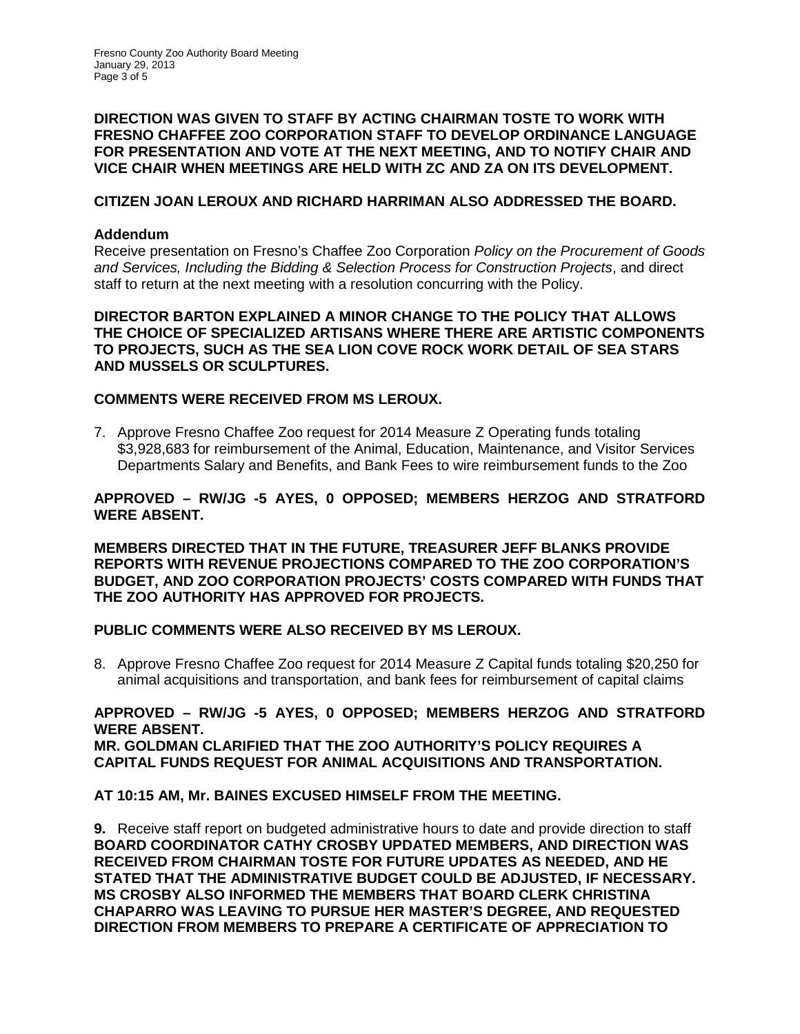### **DIRECTION WAS GIVEN TO STAFF BY ACTING CHAIRMAN TOSTE TO WORK WITH FRESNO CHAFFEE ZOO CORPORATION STAFF TO DEVELOP ORDINANCE LANGUAGE FOR PRESENTATION AND VOTE AT THE NEXT MEETING, AND TO NOTIFY CHAIR AND VICE CHAIR WHEN MEETINGS ARE HELD WITH ZC AND ZA ON ITS DEVELOPMENT.**

## **CITIZEN JOAN LEROUX AND RICHARD HARRIMAN ALSO ADDRESSED THE BOARD.**

#### **Addendum**

Receive presentation on Fresno's Chaffee Zoo Corporation *Policy on the Procurement of Goods and Services, Including the Bidding & Selection Process for Construction Projects*, and direct staff to return at the next meeting with a resolution concurring with the Policy.

**DIRECTOR BARTON EXPLAINED A MINOR CHANGE TO THE POLICY THAT ALLOWS THE CHOICE OF SPECIALIZED ARTISANS WHERE THERE ARE ARTISTIC COMPONENTS TO PROJECTS, SUCH AS THE SEA LION COVE ROCK WORK DETAIL OF SEA STARS AND MUSSELS OR SCULPTURES.**

#### **COMMENTS WERE RECEIVED FROM MS LEROUX.**

7. Approve Fresno Chaffee Zoo request for 2014 Measure Z Operating funds totaling \$3,928,683 for reimbursement of the Animal, Education, Maintenance, and Visitor Services Departments Salary and Benefits, and Bank Fees to wire reimbursement funds to the Zoo

### **APPROVED – RW/JG -5 AYES, 0 OPPOSED; MEMBERS HERZOG AND STRATFORD WERE ABSENT.**

**MEMBERS DIRECTED THAT IN THE FUTURE, TREASURER JEFF BLANKS PROVIDE REPORTS WITH REVENUE PROJECTIONS COMPARED TO THE ZOO CORPORATION'S BUDGET, AND ZOO CORPORATION PROJECTS' COSTS COMPARED WITH FUNDS THAT THE ZOO AUTHORITY HAS APPROVED FOR PROJECTS.**

#### **PUBLIC COMMENTS WERE ALSO RECEIVED BY MS LEROUX.**

8. Approve Fresno Chaffee Zoo request for 2014 Measure Z Capital funds totaling \$20,250 for animal acquisitions and transportation, and bank fees for reimbursement of capital claims

#### **APPROVED – RW/JG -5 AYES, 0 OPPOSED; MEMBERS HERZOG AND STRATFORD WERE ABSENT. MR. GOLDMAN CLARIFIED THAT THE ZOO AUTHORITY'S POLICY REQUIRES A CAPITAL FUNDS REQUEST FOR ANIMAL ACQUISITIONS AND TRANSPORTATION.**

## **AT 10:15 AM, Mr. BAINES EXCUSED HIMSELF FROM THE MEETING.**

**9.** Receive staff report on budgeted administrative hours to date and provide direction to staff **BOARD COORDINATOR CATHY CROSBY UPDATED MEMBERS, AND DIRECTION WAS RECEIVED FROM CHAIRMAN TOSTE FOR FUTURE UPDATES AS NEEDED, AND HE STATED THAT THE ADMINISTRATIVE BUDGET COULD BE ADJUSTED, IF NECESSARY. MS CROSBY ALSO INFORMED THE MEMBERS THAT BOARD CLERK CHRISTINA CHAPARRO WAS LEAVING TO PURSUE HER MASTER'S DEGREE, AND REQUESTED DIRECTION FROM MEMBERS TO PREPARE A CERTIFICATE OF APPRECIATION TO**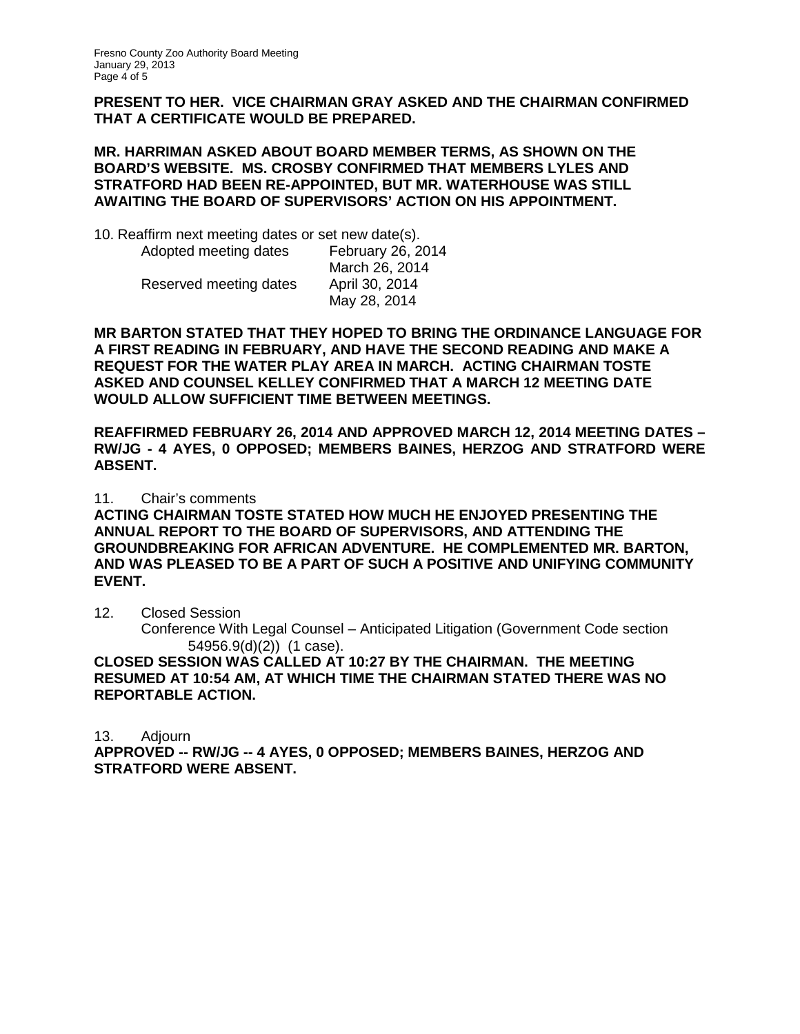**PRESENT TO HER. VICE CHAIRMAN GRAY ASKED AND THE CHAIRMAN CONFIRMED THAT A CERTIFICATE WOULD BE PREPARED.**

#### **MR. HARRIMAN ASKED ABOUT BOARD MEMBER TERMS, AS SHOWN ON THE BOARD'S WEBSITE. MS. CROSBY CONFIRMED THAT MEMBERS LYLES AND STRATFORD HAD BEEN RE-APPOINTED, BUT MR. WATERHOUSE WAS STILL AWAITING THE BOARD OF SUPERVISORS' ACTION ON HIS APPOINTMENT.**

10. Reaffirm next meeting dates or set new date(s).

| February 26, 2014<br>March 26, 2014 |
|-------------------------------------|
| April 30, 2014<br>May 28, 2014      |
|                                     |

**MR BARTON STATED THAT THEY HOPED TO BRING THE ORDINANCE LANGUAGE FOR A FIRST READING IN FEBRUARY, AND HAVE THE SECOND READING AND MAKE A REQUEST FOR THE WATER PLAY AREA IN MARCH. ACTING CHAIRMAN TOSTE ASKED AND COUNSEL KELLEY CONFIRMED THAT A MARCH 12 MEETING DATE WOULD ALLOW SUFFICIENT TIME BETWEEN MEETINGS.**

**REAFFIRMED FEBRUARY 26, 2014 AND APPROVED MARCH 12, 2014 MEETING DATES – RW/JG - 4 AYES, 0 OPPOSED; MEMBERS BAINES, HERZOG AND STRATFORD WERE ABSENT.**

11. Chair's comments

**ACTING CHAIRMAN TOSTE STATED HOW MUCH HE ENJOYED PRESENTING THE ANNUAL REPORT TO THE BOARD OF SUPERVISORS, AND ATTENDING THE GROUNDBREAKING FOR AFRICAN ADVENTURE. HE COMPLEMENTED MR. BARTON, AND WAS PLEASED TO BE A PART OF SUCH A POSITIVE AND UNIFYING COMMUNITY EVENT.**

12. Closed Session

Conference With Legal Counsel – Anticipated Litigation (Government Code section 54956.9(d)(2)) (1 case).

**CLOSED SESSION WAS CALLED AT 10:27 BY THE CHAIRMAN. THE MEETING RESUMED AT 10:54 AM, AT WHICH TIME THE CHAIRMAN STATED THERE WAS NO REPORTABLE ACTION.**

13. Adjourn

**APPROVED -- RW/JG -- 4 AYES, 0 OPPOSED; MEMBERS BAINES, HERZOG AND STRATFORD WERE ABSENT.**